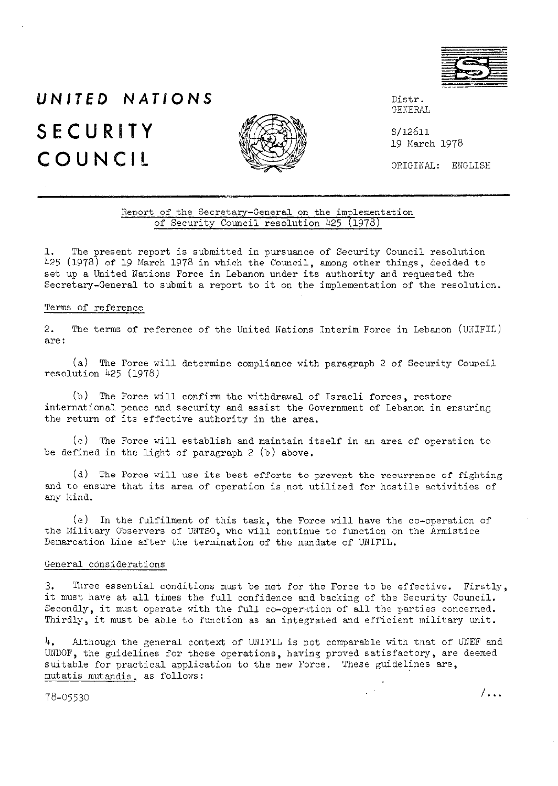

# UNITED NATIONS  $S \in \mathbb{C} \cup \mathbb{R}$  if  $Y$  s/12611  $\mathsf{COMNCH}$



Distr. GENERAL

19 March 1978

### Report of the Secretary-General on the implementation of Security Council resolution 425 (1978)

The present report is submitted in pursuance of Security Council resolution 425 (1978) of 19 March 1978 in which the Council, among other things, decided to set up a United Nations Force in Lebanon under its authority and requested the Secretary-General to submit a report to it on the implementation of the resolution.

#### Terms of reference

2. The terms of reference of the United Nations Interim Force in Lebanon (UNIFIL) are:

(a) The Force will determine compliance with paragraph 2 of Security Council resolution 425 (1978)

(b) The Force will confirm the withdrawal of Israeli forces, restore international peace and security and assist the Government of Lebanon in ensuring the return of its effective authority in the area.

(c) The Force will establish and maintain itself in an area of operation to be defined in the light of paragraph 2 (b) above.

 $(d)$  The Force will use its best efforts to prevent the recurrence of fighting and to ensure that its area of operation is not utilized for hostile activities of any kind.

(E) In the fulfilment of this task, the Force will have the co-operation of the Military Observers of UNTSO, who will continue to function on the Armistice I)emarcation Line after the termination of the mandate of UNIFIL.

#### General considerations

3. Three essential conditions must be met for the Force to be effective. Firstly, it must have at all times the full confidence and backing of the Security Council. Secondly, it must operate with the full co-operation of all the parties concerned. Thirdly, it must be able to function as an integrated and efficient military unit.

 $4.$  Although the general context of UNIFIL is not comparable with that of UNEF and UNDOF, the guidelines for these operations, having proved satisfactory, are deemed suitable for practical application to the new Force. These guidelines are, mutatis mutandis, as follows:

 $\frac{78.05530}{1000}$  /...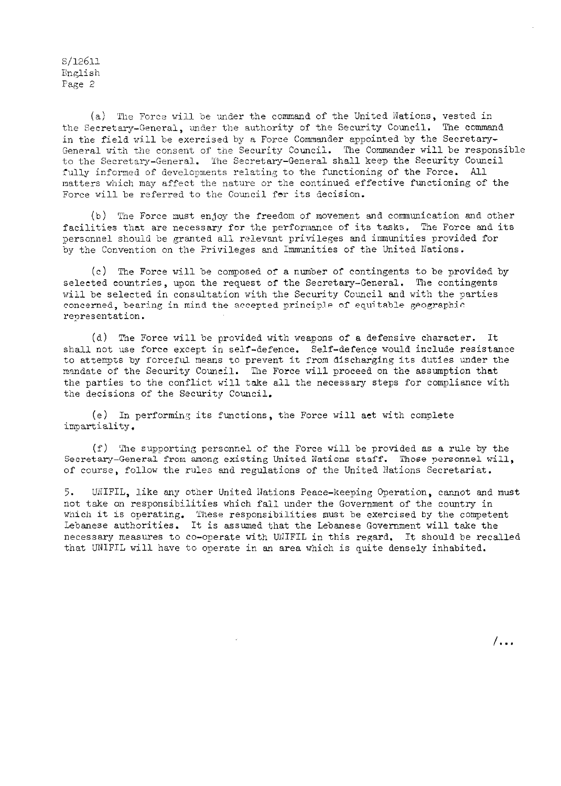s/12611 EnpJish Page 2

(a) 'The Force will be under the command of the United Nations, vested in the Secretary-General, under the authority of the Security Council. The command in the field will be exercised by a Force Commander appointed by the Secretary-General with the consent of the Security Council. The Commander will be responsible to the Secretary-General. The Secretary-General shall keep the Security Council fully informed of developments relating to the functioning of the Force. All matters which may affect the nature or the continued effective functioning of the Force will be referred to the Council for its decision.

(b) The Force must enjoy the freedom of movement and communication and other facilities that are necessary for the performance of its tasks. The Force and its personnel should be granted all relevant privileges and immunities provided for by the Convention on the PriviLeges and Immunities of the United Nations.

(c) The Force will be composed or a number of contingents to be provided by selected countries, upon the request of the Secretary-General. The contingents will be selected in consultation with the Security Council and with the parties concerned, bearing in mind the accepted principle of equitable geographic representation.

(d) The Force will be provided with weapons of & defensive character. It shall not use force except in self-defence. Self-defence would include resistance to attempts by forceful means to prevent it from discharging its duties under the mandate of the Security Council. The Force will proceed on the assumption that the parties to the conflict will take all the necessary steps for compliance with the decisions of the Security Council.

(e) In performing its functions, the Force will act with complete impartiality.

 $(f)$  'The supporting personnel of the Force will be provided as a rule by the Secretary-General from among existing United Nations staff. Those personnel will, of course, follow the rules and regulations of the United Nations Secretariat.

5. UNIFIL, like any other United Nations Peace-keeping Operation, cannot and must not take on responsibilities which fall under the Government of the country in which it is operating. These responsibilities must be exercised by the competent Lebanese authorities. It is assumed that the Lebanese Government will take the necessary measures to co-operate with UNIFIL in this regard. It should be recalled that UNIFIL will have to operate in an area which is quite densely inhabited.

/ . . .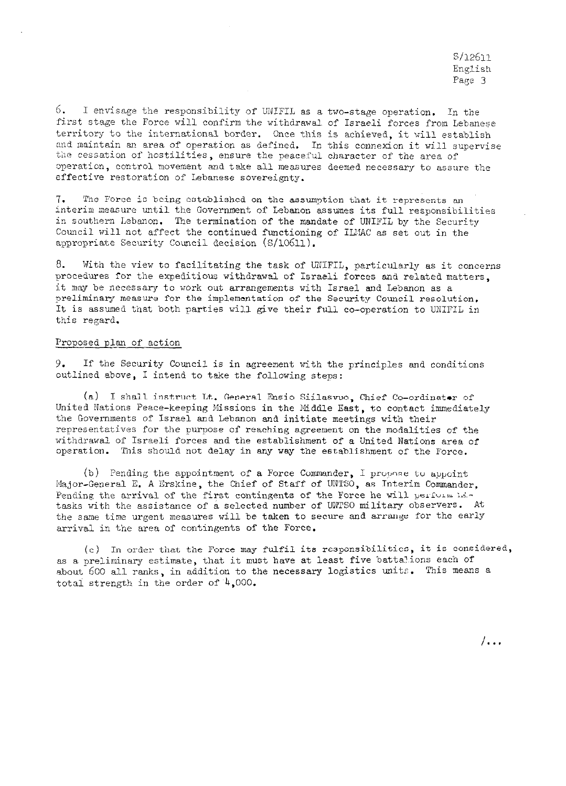S/12611 English Page 3

 $6.$  I envisage the responsibility of UNIFIL as a two-stage operation. In the first stage the Force will confirm the withdrawal of Israeli forces from Lebanese territory to the international border. Once this is achieved, it will establish and maintain an area of operation as defined. In this connexion it will supervise the cessation of hostilities, ensure the peaceful character of the area of operation, control movement and take all measures deemed necessary to assure the effective restoration of Lebanese sovereignty.

7. The Force is being established on the assumption that it represents an interim measure until the Government of Lebanon assumes its full responsibilities in southern Lebanon. The termination of the mandate of UNIFIL by the Security Council will not affect the continued functioning of ILMAC as set out in the appropriate Security Council decision (S/10611).

8. With the view to facilitating the task of UNIFIL, particularly as it concerns procedures for the expeditious withdrawal of Israeli forces and related matters, it may be necessary to work out arrangements with Israel and Lebanon as a preliminary measure for the implementation of the Security Council resolution. It is assumed that both parties will give their full co-operation to UNIFIL in this regard.

## Proposed plan of action

9. If the Security Council is in agreement with the principles and conditions outlined above, I intend to take the following steps:

(a) I shall instruct Lt. General Ensio Siilasvuo, Chief Co-ordinator of United Nations Peace-keeping Missions in the Middle East, to contact immediately the Governments of Israel and Lebanon and initiate meetings with their representatives for the purpose of reaching agreement on the modalities of the withdrawal of Israeli forces and the establishment of a United Nations area of operation. This should not delay in any nay the establishment of the Force.

(b) Pending the appointment of a Force Commander, I propose to appoint Major-General E. A Erskine, the Chief of Staff of UNTSO, as Interim Commander. Pending the arrival of the first contingents of the Force he will perform his tasks with the assistance of a selected number of UNTSO military observers. At the same time urgent measures will be taken to secure and arrange for the early arrival in the area of contingents of the Force.

(c) In order that the Force may fulfil its responsibilities, it is considered, as a preliminary estimate, that it must have at least five battalions each of about 600 all ranks, in addition to the necessary logistics units. This means a total strength in the order of 4,000.

....